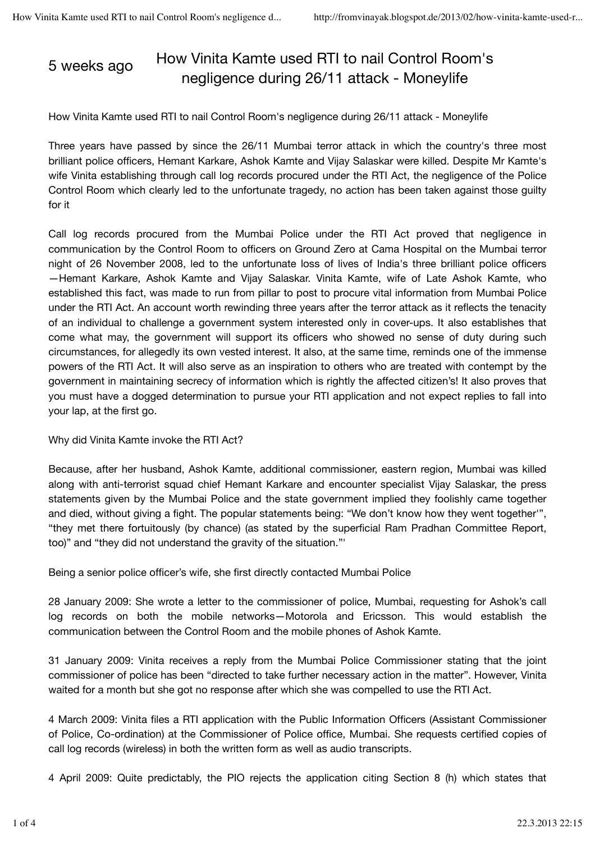## 5 weeks ago How Vinita Kamte used RTI to nail Control Room's negligence during 26/11 attack - Moneylife

How Vinita Kamte used RTI to nail Control Room's negligence during 26/11 attack - Moneylife

Three years have passed by since the 26/11 Mumbai terror attack in which the country's three most brilliant police officers, Hemant Karkare, Ashok Kamte and Vijay Salaskar were killed. Despite Mr Kamte's wife Vinita establishing through call log records procured under the RTI Act, the negligence of the Police Control Room which clearly led to the unfortunate tragedy, no action has been taken against those guilty for it

Call log records procured from the Mumbai Police under the RTI Act proved that negligence in communication by the Control Room to officers on Ground Zero at Cama Hospital on the Mumbai terror night of 26 November 2008, led to the unfortunate loss of lives of India's three brilliant police officers —Hemant Karkare, Ashok Kamte and Vijay Salaskar. Vinita Kamte, wife of Late Ashok Kamte, who established this fact, was made to run from pillar to post to procure vital information from Mumbai Police under the RTI Act. An account worth rewinding three years after the terror attack as it reflects the tenacity of an individual to challenge a government system interested only in cover-ups. It also establishes that come what may, the government will support its officers who showed no sense of duty during such circumstances, for allegedly its own vested interest. It also, at the same time, reminds one of the immense powers of the RTI Act. It will also serve as an inspiration to others who are treated with contempt by the government in maintaining secrecy of information which is rightly the affected citizen's! It also proves that you must have a dogged determination to pursue your RTI application and not expect replies to fall into your lap, at the first go.

Why did Vinita Kamte invoke the RTI Act?

Because, after her husband, Ashok Kamte, additional commissioner, eastern region, Mumbai was killed along with anti-terrorist squad chief Hemant Karkare and encounter specialist Vijay Salaskar, the press statements given by the Mumbai Police and the state government implied they foolishly came together and died, without giving a fight. The popular statements being: "We don't know how they went together'", "they met there fortuitously (by chance) (as stated by the superficial Ram Pradhan Committee Report, too)" and "they did not understand the gravity of the situation."'

Being a senior police officer's wife, she first directly contacted Mumbai Police

28 January 2009: She wrote a letter to the commissioner of police, Mumbai, requesting for Ashok's call log records on both the mobile networks—Motorola and Ericsson. This would establish the communication between the Control Room and the mobile phones of Ashok Kamte.

31 January 2009: Vinita receives a reply from the Mumbai Police Commissioner stating that the joint commissioner of police has been "directed to take further necessary action in the matter". However, Vinita waited for a month but she got no response after which she was compelled to use the RTI Act.

4 March 2009: Vinita files a RTI application with the Public Information Officers (Assistant Commissioner of Police, Co-ordination) at the Commissioner of Police office, Mumbai. She requests certified copies of call log records (wireless) in both the written form as well as audio transcripts.

4 April 2009: Quite predictably, the PIO rejects the application citing Section 8 (h) which states that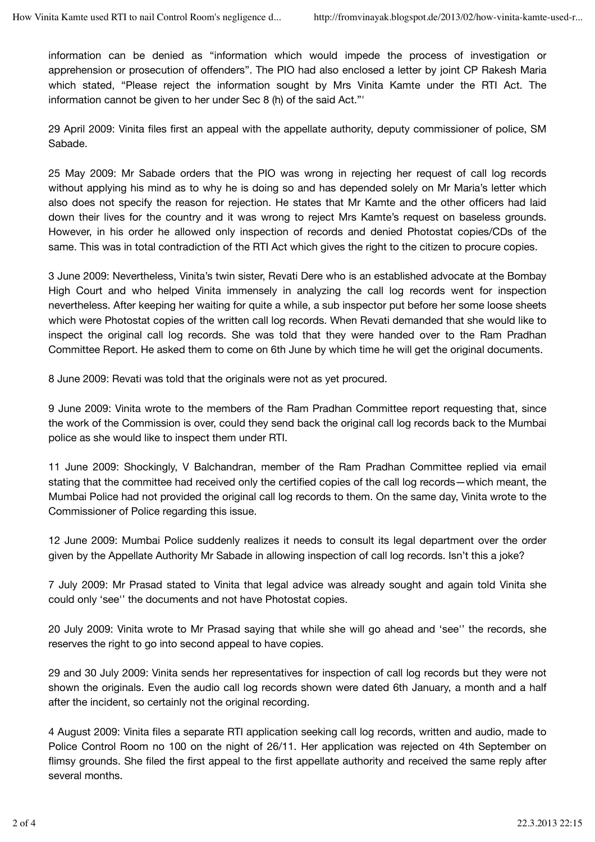information can be denied as "information which would impede the process of investigation or apprehension or prosecution of offenders". The PIO had also enclosed a letter by joint CP Rakesh Maria which stated, "Please reject the information sought by Mrs Vinita Kamte under the RTI Act. The information cannot be given to her under Sec 8 (h) of the said Act."'

29 April 2009: Vinita files first an appeal with the appellate authority, deputy commissioner of police, SM Sabade.

25 May 2009: Mr Sabade orders that the PIO was wrong in rejecting her request of call log records without applying his mind as to why he is doing so and has depended solely on Mr Maria's letter which also does not specify the reason for rejection. He states that Mr Kamte and the other officers had laid down their lives for the country and it was wrong to reject Mrs Kamte's request on baseless grounds. However, in his order he allowed only inspection of records and denied Photostat copies/CDs of the same. This was in total contradiction of the RTI Act which gives the right to the citizen to procure copies.

3 June 2009: Nevertheless, Vinita's twin sister, Revati Dere who is an established advocate at the Bombay High Court and who helped Vinita immensely in analyzing the call log records went for inspection nevertheless. After keeping her waiting for quite a while, a sub inspector put before her some loose sheets which were Photostat copies of the written call log records. When Revati demanded that she would like to inspect the original call log records. She was told that they were handed over to the Ram Pradhan Committee Report. He asked them to come on 6th June by which time he will get the original documents.

8 June 2009: Revati was told that the originals were not as yet procured.

9 June 2009: Vinita wrote to the members of the Ram Pradhan Committee report requesting that, since the work of the Commission is over, could they send back the original call log records back to the Mumbai police as she would like to inspect them under RTI.

11 June 2009: Shockingly, V Balchandran, member of the Ram Pradhan Committee replied via email stating that the committee had received only the certified copies of the call log records—which meant, the Mumbai Police had not provided the original call log records to them. On the same day, Vinita wrote to the Commissioner of Police regarding this issue.

12 June 2009: Mumbai Police suddenly realizes it needs to consult its legal department over the order given by the Appellate Authority Mr Sabade in allowing inspection of call log records. Isn't this a joke?

7 July 2009: Mr Prasad stated to Vinita that legal advice was already sought and again told Vinita she could only 'see'' the documents and not have Photostat copies.

20 July 2009: Vinita wrote to Mr Prasad saying that while she will go ahead and 'see'' the records, she reserves the right to go into second appeal to have copies.

29 and 30 July 2009: Vinita sends her representatives for inspection of call log records but they were not shown the originals. Even the audio call log records shown were dated 6th January, a month and a half after the incident, so certainly not the original recording.

4 August 2009: Vinita files a separate RTI application seeking call log records, written and audio, made to Police Control Room no 100 on the night of 26/11. Her application was rejected on 4th September on flimsy grounds. She filed the first appeal to the first appellate authority and received the same reply after several months.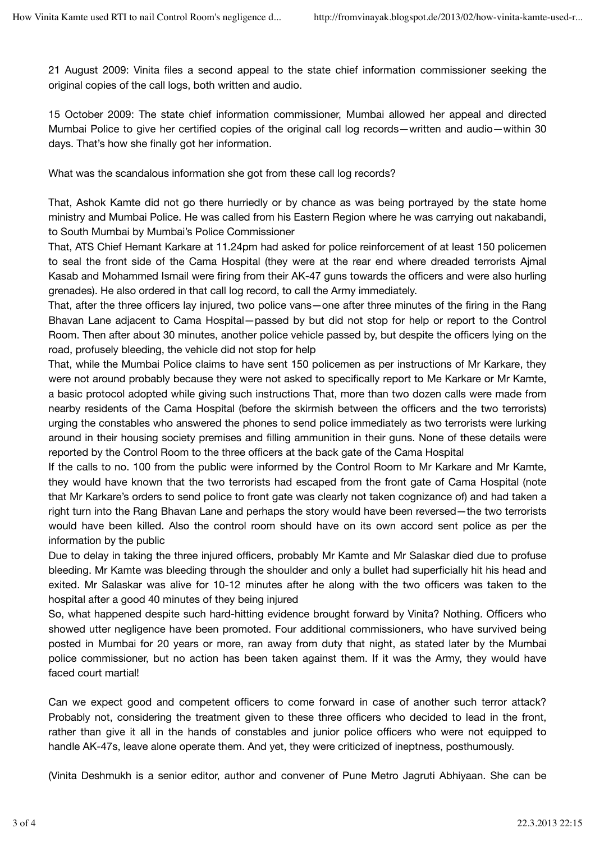21 August 2009: Vinita files a second appeal to the state chief information commissioner seeking the original copies of the call logs, both written and audio.

15 October 2009: The state chief information commissioner, Mumbai allowed her appeal and directed Mumbai Police to give her certified copies of the original call log records—written and audio—within 30 days. That's how she finally got her information.

What was the scandalous information she got from these call log records?

That, Ashok Kamte did not go there hurriedly or by chance as was being portrayed by the state home ministry and Mumbai Police. He was called from his Eastern Region where he was carrying out nakabandi, to South Mumbai by Mumbai's Police Commissioner

That, ATS Chief Hemant Karkare at 11.24pm had asked for police reinforcement of at least 150 policemen to seal the front side of the Cama Hospital (they were at the rear end where dreaded terrorists Ajmal Kasab and Mohammed Ismail were firing from their AK-47 guns towards the officers and were also hurling grenades). He also ordered in that call log record, to call the Army immediately.

That, after the three officers lay injured, two police vans—one after three minutes of the firing in the Rang Bhavan Lane adjacent to Cama Hospital—passed by but did not stop for help or report to the Control Room. Then after about 30 minutes, another police vehicle passed by, but despite the officers lying on the road, profusely bleeding, the vehicle did not stop for help

That, while the Mumbai Police claims to have sent 150 policemen as per instructions of Mr Karkare, they were not around probably because they were not asked to specifically report to Me Karkare or Mr Kamte, a basic protocol adopted while giving such instructions That, more than two dozen calls were made from nearby residents of the Cama Hospital (before the skirmish between the officers and the two terrorists) urging the constables who answered the phones to send police immediately as two terrorists were lurking around in their housing society premises and filling ammunition in their guns. None of these details were reported by the Control Room to the three officers at the back gate of the Cama Hospital

If the calls to no. 100 from the public were informed by the Control Room to Mr Karkare and Mr Kamte, they would have known that the two terrorists had escaped from the front gate of Cama Hospital (note that Mr Karkare's orders to send police to front gate was clearly not taken cognizance of) and had taken a right turn into the Rang Bhavan Lane and perhaps the story would have been reversed—the two terrorists would have been killed. Also the control room should have on its own accord sent police as per the information by the public

Due to delay in taking the three injured officers, probably Mr Kamte and Mr Salaskar died due to profuse bleeding. Mr Kamte was bleeding through the shoulder and only a bullet had superficially hit his head and exited. Mr Salaskar was alive for 10-12 minutes after he along with the two officers was taken to the hospital after a good 40 minutes of they being injured

So, what happened despite such hard-hitting evidence brought forward by Vinita? Nothing. Officers who showed utter negligence have been promoted. Four additional commissioners, who have survived being posted in Mumbai for 20 years or more, ran away from duty that night, as stated later by the Mumbai police commissioner, but no action has been taken against them. If it was the Army, they would have faced court martial!

Can we expect good and competent officers to come forward in case of another such terror attack? Probably not, considering the treatment given to these three officers who decided to lead in the front, rather than give it all in the hands of constables and junior police officers who were not equipped to handle AK-47s, leave alone operate them. And yet, they were criticized of ineptness, posthumously.

(Vinita Deshmukh is a senior editor, author and convener of Pune Metro Jagruti Abhiyaan. She can be